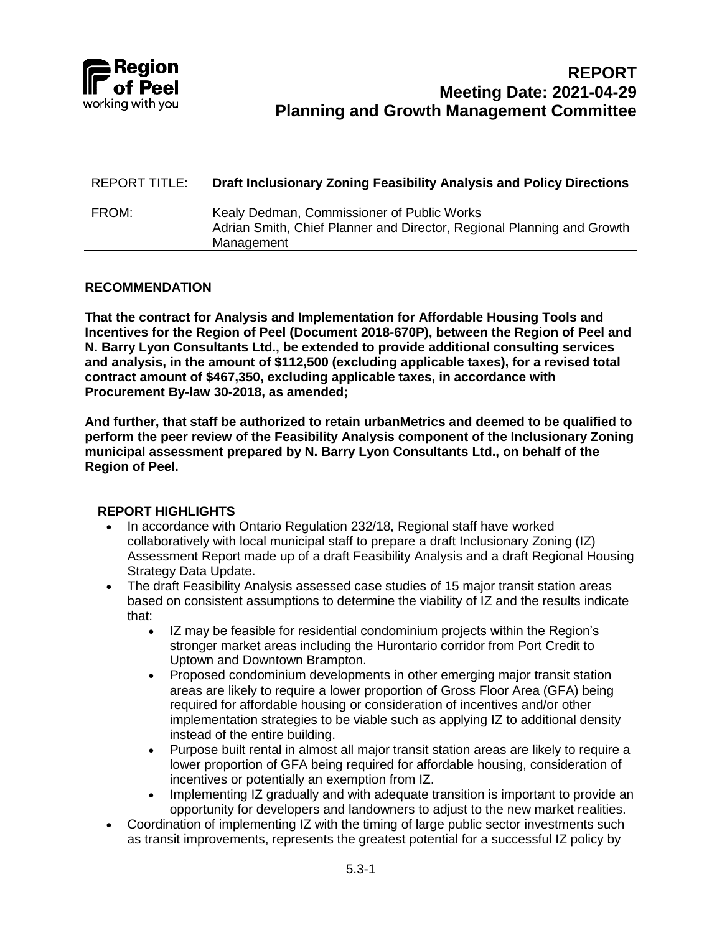

| REPORT TITLE: | Draft Inclusionary Zoning Feasibility Analysis and Policy Directions                                                               |
|---------------|------------------------------------------------------------------------------------------------------------------------------------|
| FROM:         | Kealy Dedman, Commissioner of Public Works<br>Adrian Smith, Chief Planner and Director, Regional Planning and Growth<br>Management |

#### **RECOMMENDATION**

**That the contract for Analysis and Implementation for Affordable Housing Tools and Incentives for the Region of Peel (Document 2018-670P), between the Region of Peel and N. Barry Lyon Consultants Ltd., be extended to provide additional consulting services and analysis, in the amount of \$112,500 (excluding applicable taxes), for a revised total contract amount of \$467,350, excluding applicable taxes, in accordance with Procurement By-law 30-2018, as amended;**

**And further, that staff be authorized to retain urbanMetrics and deemed to be qualified to perform the peer review of the Feasibility Analysis component of the Inclusionary Zoning municipal assessment prepared by N. Barry Lyon Consultants Ltd., on behalf of the Region of Peel.**

#### **REPORT HIGHLIGHTS**

- In accordance with Ontario Regulation 232/18, Regional staff have worked collaboratively with local municipal staff to prepare a draft Inclusionary Zoning (IZ) Assessment Report made up of a draft Feasibility Analysis and a draft Regional Housing Strategy Data Update.
- The draft Feasibility Analysis assessed case studies of 15 major transit station areas based on consistent assumptions to determine the viability of IZ and the results indicate that:
	- IZ may be feasible for residential condominium projects within the Region's stronger market areas including the Hurontario corridor from Port Credit to Uptown and Downtown Brampton.
	- Proposed condominium developments in other emerging major transit station areas are likely to require a lower proportion of Gross Floor Area (GFA) being required for affordable housing or consideration of incentives and/or other implementation strategies to be viable such as applying IZ to additional density instead of the entire building.
	- Purpose built rental in almost all major transit station areas are likely to require a lower proportion of GFA being required for affordable housing, consideration of incentives or potentially an exemption from IZ.
	- Implementing IZ gradually and with adequate transition is important to provide an opportunity for developers and landowners to adjust to the new market realities.
- Coordination of implementing IZ with the timing of large public sector investments such as transit improvements, represents the greatest potential for a successful IZ policy by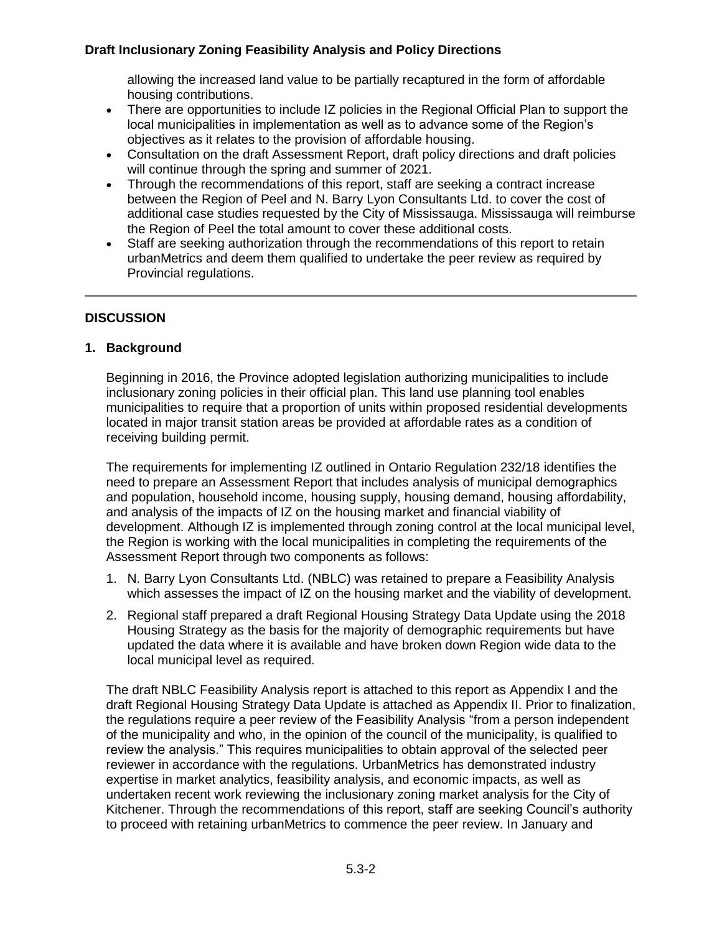allowing the increased land value to be partially recaptured in the form of affordable housing contributions.

- There are opportunities to include IZ policies in the Regional Official Plan to support the local municipalities in implementation as well as to advance some of the Region's objectives as it relates to the provision of affordable housing.
- Consultation on the draft Assessment Report, draft policy directions and draft policies will continue through the spring and summer of 2021.
- Through the recommendations of this report, staff are seeking a contract increase between the Region of Peel and N. Barry Lyon Consultants Ltd. to cover the cost of additional case studies requested by the City of Mississauga. Mississauga will reimburse the Region of Peel the total amount to cover these additional costs.
- Staff are seeking authorization through the recommendations of this report to retain urbanMetrics and deem them qualified to undertake the peer review as required by Provincial regulations.

#### **DISCUSSION**

#### **1. Background**

Beginning in 2016, the Province adopted legislation authorizing municipalities to include inclusionary zoning policies in their official plan. This land use planning tool enables municipalities to require that a proportion of units within proposed residential developments located in major transit station areas be provided at affordable rates as a condition of receiving building permit.

The requirements for implementing IZ outlined in Ontario Regulation 232/18 identifies the need to prepare an Assessment Report that includes analysis of municipal demographics and population, household income, housing supply, housing demand, housing affordability, and analysis of the impacts of IZ on the housing market and financial viability of development. Although IZ is implemented through zoning control at the local municipal level, the Region is working with the local municipalities in completing the requirements of the Assessment Report through two components as follows:

- 1. N. Barry Lyon Consultants Ltd. (NBLC) was retained to prepare a Feasibility Analysis which assesses the impact of IZ on the housing market and the viability of development.
- 2. Regional staff prepared a draft Regional Housing Strategy Data Update using the 2018 Housing Strategy as the basis for the majority of demographic requirements but have updated the data where it is available and have broken down Region wide data to the local municipal level as required.

The draft NBLC Feasibility Analysis report is attached to this report as Appendix I and the draft Regional Housing Strategy Data Update is attached as Appendix II. Prior to finalization, the regulations require a peer review of the Feasibility Analysis "from a person independent of the municipality and who, in the opinion of the council of the municipality, is qualified to review the analysis." This requires municipalities to obtain approval of the selected peer reviewer in accordance with the regulations. UrbanMetrics has demonstrated industry expertise in market analytics, feasibility analysis, and economic impacts, as well as undertaken recent work reviewing the inclusionary zoning market analysis for the City of Kitchener. Through the recommendations of this report, staff are seeking Council's authority to proceed with retaining urbanMetrics to commence the peer review. In January and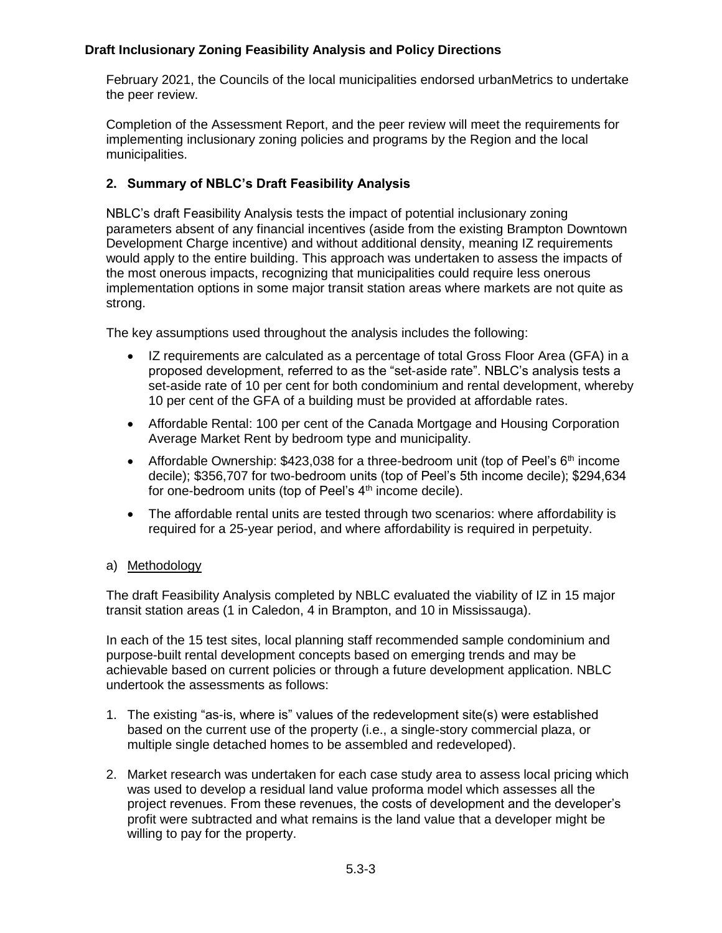February 2021, the Councils of the local municipalities endorsed urbanMetrics to undertake the peer review.

Completion of the Assessment Report, and the peer review will meet the requirements for implementing inclusionary zoning policies and programs by the Region and the local municipalities.

# **2. Summary of NBLC's Draft Feasibility Analysis**

NBLC's draft Feasibility Analysis tests the impact of potential inclusionary zoning parameters absent of any financial incentives (aside from the existing Brampton Downtown Development Charge incentive) and without additional density, meaning IZ requirements would apply to the entire building. This approach was undertaken to assess the impacts of the most onerous impacts, recognizing that municipalities could require less onerous implementation options in some major transit station areas where markets are not quite as strong.

The key assumptions used throughout the analysis includes the following:

- IZ requirements are calculated as a percentage of total Gross Floor Area (GFA) in a proposed development, referred to as the "set-aside rate". NBLC's analysis tests a set-aside rate of 10 per cent for both condominium and rental development, whereby 10 per cent of the GFA of a building must be provided at affordable rates.
- Affordable Rental: 100 per cent of the Canada Mortgage and Housing Corporation Average Market Rent by bedroom type and municipality.
- Affordable Ownership:  $$423,038$  for a three-bedroom unit (top of Peel's  $6<sup>th</sup>$  income decile); \$356,707 for two-bedroom units (top of Peel's 5th income decile); \$294,634 for one-bedroom units (top of Peel's  $4<sup>th</sup>$  income decile).
- The affordable rental units are tested through two scenarios: where affordability is required for a 25-year period, and where affordability is required in perpetuity.

#### a) Methodology

The draft Feasibility Analysis completed by NBLC evaluated the viability of IZ in 15 major transit station areas (1 in Caledon, 4 in Brampton, and 10 in Mississauga).

In each of the 15 test sites, local planning staff recommended sample condominium and purpose-built rental development concepts based on emerging trends and may be achievable based on current policies or through a future development application. NBLC undertook the assessments as follows:

- 1. The existing "as-is, where is" values of the redevelopment site(s) were established based on the current use of the property (i.e., a single-story commercial plaza, or multiple single detached homes to be assembled and redeveloped).
- 2. Market research was undertaken for each case study area to assess local pricing which was used to develop a residual land value proforma model which assesses all the project revenues. From these revenues, the costs of development and the developer's profit were subtracted and what remains is the land value that a developer might be willing to pay for the property.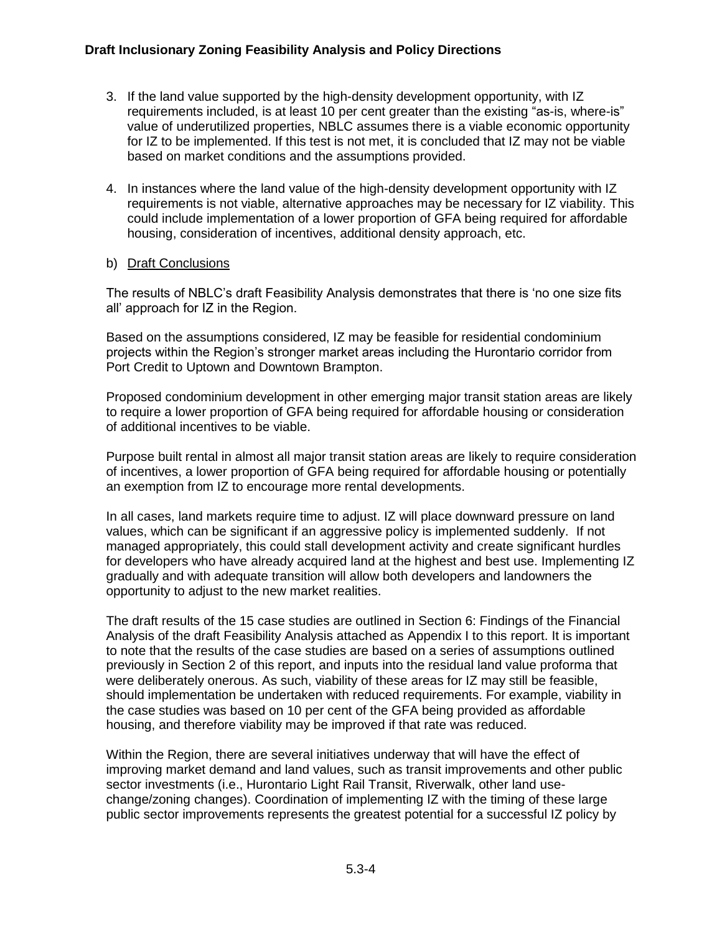- 3. If the land value supported by the high-density development opportunity, with IZ requirements included, is at least 10 per cent greater than the existing "as-is, where-is" value of underutilized properties, NBLC assumes there is a viable economic opportunity for IZ to be implemented. If this test is not met, it is concluded that IZ may not be viable based on market conditions and the assumptions provided.
- 4. In instances where the land value of the high-density development opportunity with IZ requirements is not viable, alternative approaches may be necessary for IZ viability. This could include implementation of a lower proportion of GFA being required for affordable housing, consideration of incentives, additional density approach, etc.

#### b) Draft Conclusions

The results of NBLC's draft Feasibility Analysis demonstrates that there is 'no one size fits all' approach for IZ in the Region.

Based on the assumptions considered, IZ may be feasible for residential condominium projects within the Region's stronger market areas including the Hurontario corridor from Port Credit to Uptown and Downtown Brampton.

Proposed condominium development in other emerging major transit station areas are likely to require a lower proportion of GFA being required for affordable housing or consideration of additional incentives to be viable.

Purpose built rental in almost all major transit station areas are likely to require consideration of incentives, a lower proportion of GFA being required for affordable housing or potentially an exemption from IZ to encourage more rental developments.

In all cases, land markets require time to adjust. IZ will place downward pressure on land values, which can be significant if an aggressive policy is implemented suddenly. If not managed appropriately, this could stall development activity and create significant hurdles for developers who have already acquired land at the highest and best use. Implementing IZ gradually and with adequate transition will allow both developers and landowners the opportunity to adjust to the new market realities.

The draft results of the 15 case studies are outlined in Section 6: Findings of the Financial Analysis of the draft Feasibility Analysis attached as Appendix I to this report. It is important to note that the results of the case studies are based on a series of assumptions outlined previously in Section 2 of this report, and inputs into the residual land value proforma that were deliberately onerous. As such, viability of these areas for IZ may still be feasible, should implementation be undertaken with reduced requirements. For example, viability in the case studies was based on 10 per cent of the GFA being provided as affordable housing, and therefore viability may be improved if that rate was reduced.

Within the Region, there are several initiatives underway that will have the effect of improving market demand and land values, such as transit improvements and other public sector investments (i.e., Hurontario Light Rail Transit, Riverwalk, other land usechange/zoning changes). Coordination of implementing IZ with the timing of these large public sector improvements represents the greatest potential for a successful IZ policy by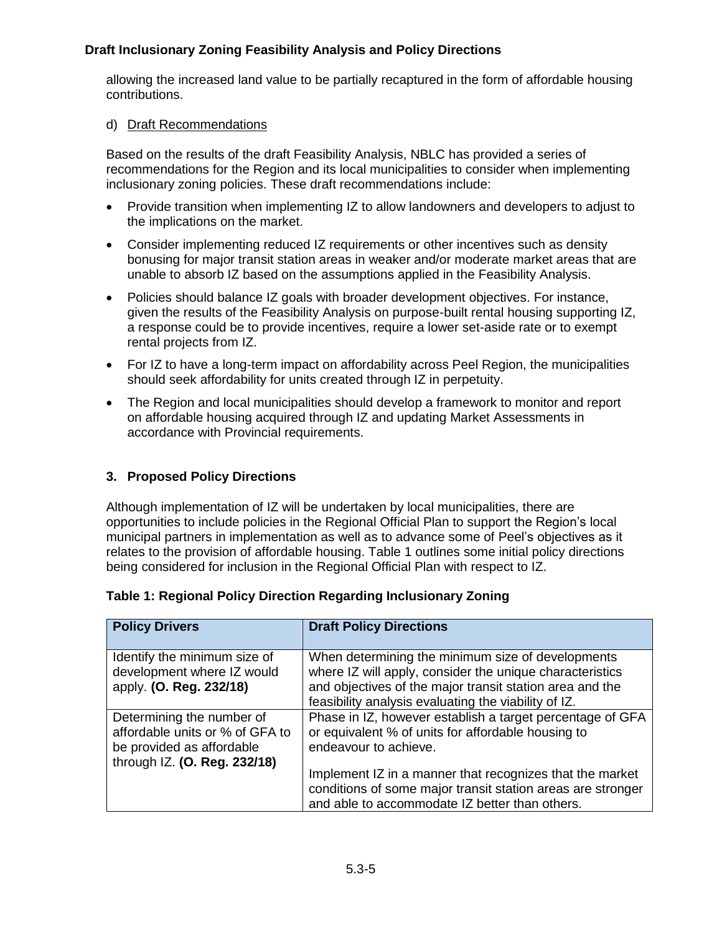allowing the increased land value to be partially recaptured in the form of affordable housing contributions.

### d) Draft Recommendations

Based on the results of the draft Feasibility Analysis, NBLC has provided a series of recommendations for the Region and its local municipalities to consider when implementing inclusionary zoning policies. These draft recommendations include:

- Provide transition when implementing IZ to allow landowners and developers to adjust to the implications on the market.
- Consider implementing reduced IZ requirements or other incentives such as density bonusing for major transit station areas in weaker and/or moderate market areas that are unable to absorb IZ based on the assumptions applied in the Feasibility Analysis.
- Policies should balance IZ goals with broader development objectives. For instance, given the results of the Feasibility Analysis on purpose-built rental housing supporting IZ, a response could be to provide incentives, require a lower set-aside rate or to exempt rental projects from IZ.
- For IZ to have a long-term impact on affordability across Peel Region, the municipalities should seek affordability for units created through IZ in perpetuity.
- The Region and local municipalities should develop a framework to monitor and report on affordable housing acquired through IZ and updating Market Assessments in accordance with Provincial requirements.

## **3. Proposed Policy Directions**

Although implementation of IZ will be undertaken by local municipalities, there are opportunities to include policies in the Regional Official Plan to support the Region's local municipal partners in implementation as well as to advance some of Peel's objectives as it relates to the provision of affordable housing. Table 1 outlines some initial policy directions being considered for inclusion in the Regional Official Plan with respect to IZ.

| <b>Policy Drivers</b>                                                                                                     | <b>Draft Policy Directions</b>                                                                                                                                                                                                    |
|---------------------------------------------------------------------------------------------------------------------------|-----------------------------------------------------------------------------------------------------------------------------------------------------------------------------------------------------------------------------------|
| Identify the minimum size of<br>development where IZ would<br>apply. (O. Reg. 232/18)                                     | When determining the minimum size of developments<br>where IZ will apply, consider the unique characteristics<br>and objectives of the major transit station area and the<br>feasibility analysis evaluating the viability of IZ. |
| Determining the number of<br>affordable units or % of GFA to<br>be provided as affordable<br>through IZ. (O. Reg. 232/18) | Phase in IZ, however establish a target percentage of GFA<br>or equivalent % of units for affordable housing to<br>endeavour to achieve.                                                                                          |
|                                                                                                                           | Implement IZ in a manner that recognizes that the market<br>conditions of some major transit station areas are stronger<br>and able to accommodate IZ better than others.                                                         |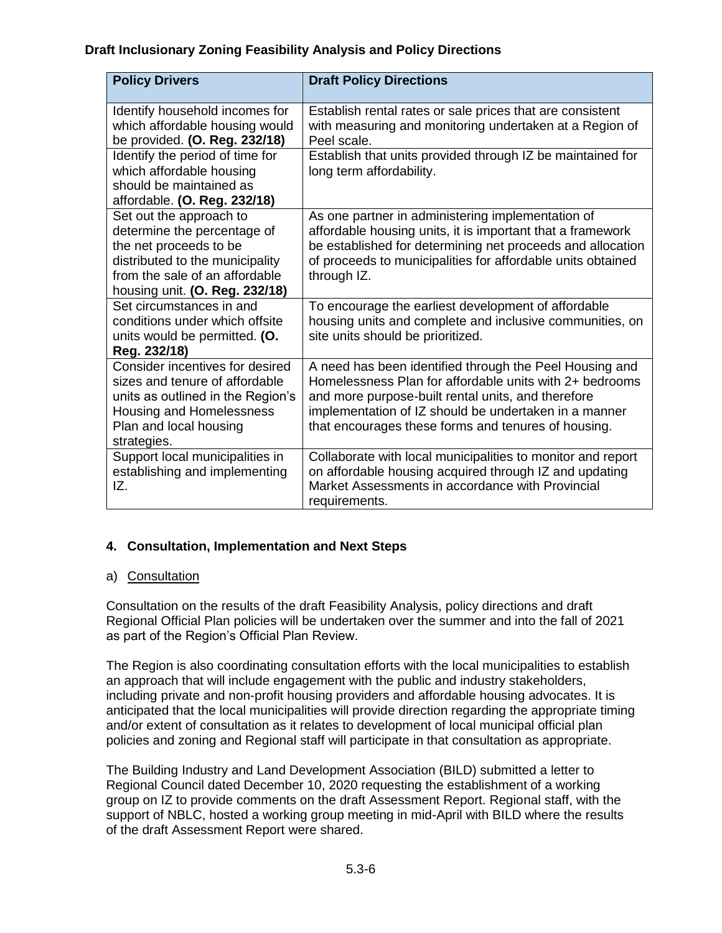| <b>Policy Drivers</b>                                                                                                                                                                   | <b>Draft Policy Directions</b>                                                                                                                                                                                                                                                           |
|-----------------------------------------------------------------------------------------------------------------------------------------------------------------------------------------|------------------------------------------------------------------------------------------------------------------------------------------------------------------------------------------------------------------------------------------------------------------------------------------|
| Identify household incomes for<br>which affordable housing would<br>be provided. (O. Reg. 232/18)                                                                                       | Establish rental rates or sale prices that are consistent<br>with measuring and monitoring undertaken at a Region of<br>Peel scale.                                                                                                                                                      |
| Identify the period of time for<br>which affordable housing<br>should be maintained as<br>affordable. (O. Reg. 232/18)                                                                  | Establish that units provided through IZ be maintained for<br>long term affordability.                                                                                                                                                                                                   |
| Set out the approach to<br>determine the percentage of<br>the net proceeds to be<br>distributed to the municipality<br>from the sale of an affordable<br>housing unit. (O. Reg. 232/18) | As one partner in administering implementation of<br>affordable housing units, it is important that a framework<br>be established for determining net proceeds and allocation<br>of proceeds to municipalities for affordable units obtained<br>through IZ.                              |
| Set circumstances in and<br>conditions under which offsite<br>units would be permitted. (O.<br>Reg. 232/18)                                                                             | To encourage the earliest development of affordable<br>housing units and complete and inclusive communities, on<br>site units should be prioritized.                                                                                                                                     |
| Consider incentives for desired<br>sizes and tenure of affordable<br>units as outlined in the Region's<br>Housing and Homelessness<br>Plan and local housing<br>strategies.             | A need has been identified through the Peel Housing and<br>Homelessness Plan for affordable units with 2+ bedrooms<br>and more purpose-built rental units, and therefore<br>implementation of IZ should be undertaken in a manner<br>that encourages these forms and tenures of housing. |
| Support local municipalities in<br>establishing and implementing<br>IZ.                                                                                                                 | Collaborate with local municipalities to monitor and report<br>on affordable housing acquired through IZ and updating<br>Market Assessments in accordance with Provincial<br>requirements.                                                                                               |

## **4. Consultation, Implementation and Next Steps**

#### a) Consultation

Consultation on the results of the draft Feasibility Analysis, policy directions and draft Regional Official Plan policies will be undertaken over the summer and into the fall of 2021 as part of the Region's Official Plan Review.

The Region is also coordinating consultation efforts with the local municipalities to establish an approach that will include engagement with the public and industry stakeholders, including private and non-profit housing providers and affordable housing advocates. It is anticipated that the local municipalities will provide direction regarding the appropriate timing and/or extent of consultation as it relates to development of local municipal official plan policies and zoning and Regional staff will participate in that consultation as appropriate.

The Building Industry and Land Development Association (BILD) submitted a letter to Regional Council dated December 10, 2020 requesting the establishment of a working group on IZ to provide comments on the draft Assessment Report. Regional staff, with the support of NBLC, hosted a working group meeting in mid-April with BILD where the results of the draft Assessment Report were shared.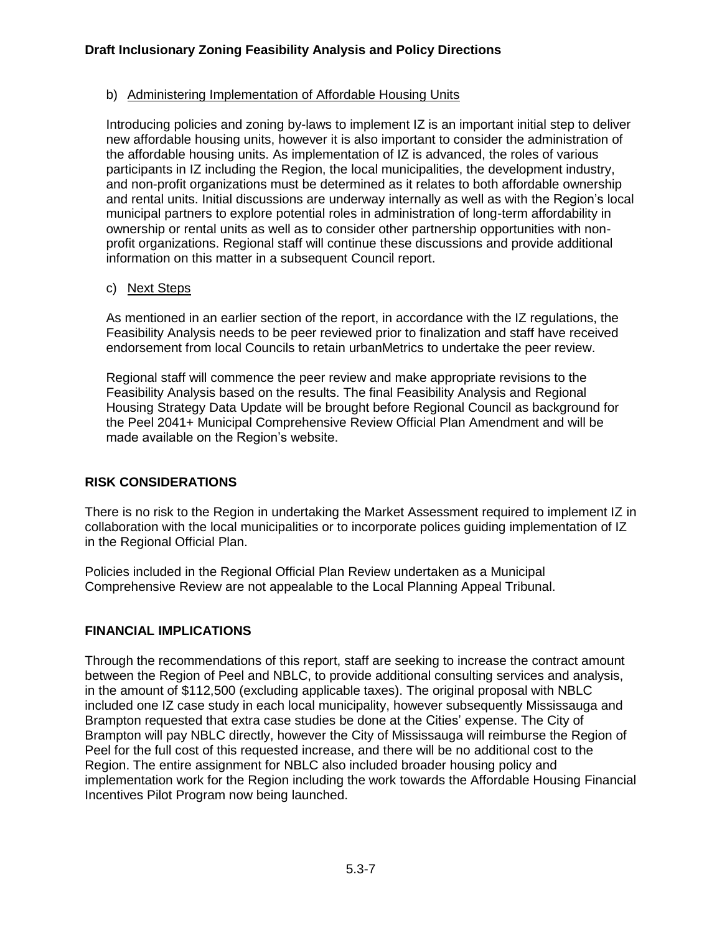### b) Administering Implementation of Affordable Housing Units

Introducing policies and zoning by-laws to implement IZ is an important initial step to deliver new affordable housing units, however it is also important to consider the administration of the affordable housing units. As implementation of IZ is advanced, the roles of various participants in IZ including the Region, the local municipalities, the development industry, and non-profit organizations must be determined as it relates to both affordable ownership and rental units. Initial discussions are underway internally as well as with the Region's local municipal partners to explore potential roles in administration of long-term affordability in ownership or rental units as well as to consider other partnership opportunities with nonprofit organizations. Regional staff will continue these discussions and provide additional information on this matter in a subsequent Council report.

### c) Next Steps

As mentioned in an earlier section of the report, in accordance with the IZ regulations, the Feasibility Analysis needs to be peer reviewed prior to finalization and staff have received endorsement from local Councils to retain urbanMetrics to undertake the peer review.

Regional staff will commence the peer review and make appropriate revisions to the Feasibility Analysis based on the results. The final Feasibility Analysis and Regional Housing Strategy Data Update will be brought before Regional Council as background for the Peel 2041+ Municipal Comprehensive Review Official Plan Amendment and will be made available on the Region's website.

## **RISK CONSIDERATIONS**

There is no risk to the Region in undertaking the Market Assessment required to implement IZ in collaboration with the local municipalities or to incorporate polices guiding implementation of IZ in the Regional Official Plan.

Policies included in the Regional Official Plan Review undertaken as a Municipal Comprehensive Review are not appealable to the Local Planning Appeal Tribunal.

## **FINANCIAL IMPLICATIONS**

Through the recommendations of this report, staff are seeking to increase the contract amount between the Region of Peel and NBLC, to provide additional consulting services and analysis, in the amount of \$112,500 (excluding applicable taxes). The original proposal with NBLC included one IZ case study in each local municipality, however subsequently Mississauga and Brampton requested that extra case studies be done at the Cities' expense. The City of Brampton will pay NBLC directly, however the City of Mississauga will reimburse the Region of Peel for the full cost of this requested increase, and there will be no additional cost to the Region. The entire assignment for NBLC also included broader housing policy and implementation work for the Region including the work towards the Affordable Housing Financial Incentives Pilot Program now being launched.